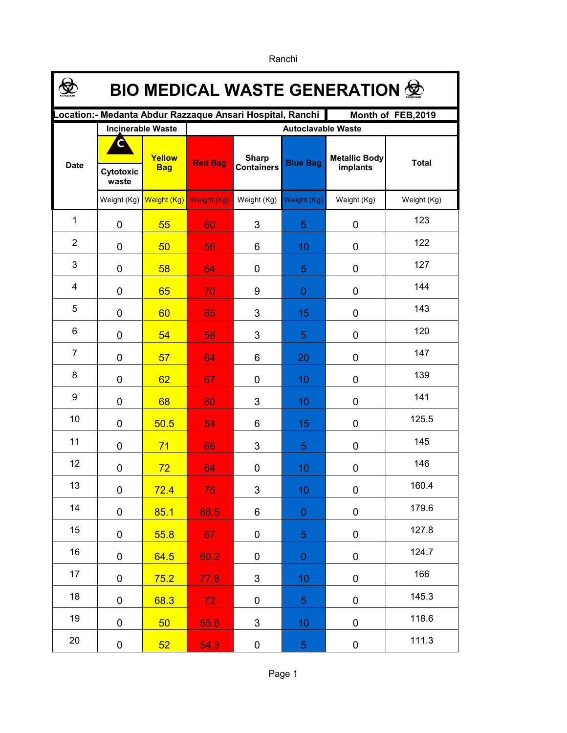| <b>BIO MEDICAL WASTE GENERATION 佥</b>                                         |                          |                      |                           |                                   |                 |                                  |              |  |  |  |  |
|-------------------------------------------------------------------------------|--------------------------|----------------------|---------------------------|-----------------------------------|-----------------|----------------------------------|--------------|--|--|--|--|
| ocation:- Medanta Abdur Razzaque Ansari Hospital, Ranchi<br>Month of FEB,2019 |                          |                      |                           |                                   |                 |                                  |              |  |  |  |  |
|                                                                               | <b>Incinerable Waste</b> |                      | <b>Autoclavable Waste</b> |                                   |                 |                                  |              |  |  |  |  |
| <b>Date</b>                                                                   | C<br>Cytotoxic<br>waste  | Yellow<br><b>Bag</b> | <b>Red Bag</b>            | <b>Sharp</b><br><b>Containers</b> | <b>Blue Bag</b> | <b>Metallic Body</b><br>implants | <b>Total</b> |  |  |  |  |
|                                                                               | Weight $(Kg)$            | Weight (Kg)          | Weight (Kg)               | Weight (Kg)                       | Weight (Kg)     | Weight (Kg)                      | Weight (Kg)  |  |  |  |  |
| $\mathbf{1}$                                                                  | $\mathbf 0$              | 55                   | 60                        | 3                                 | 5               | 0                                | 123          |  |  |  |  |
| $\overline{2}$                                                                | $\mathbf 0$              | 50                   | 56                        | 6                                 | 10              | 0                                | 122          |  |  |  |  |
| 3                                                                             | $\mathbf 0$              | 58                   | 64                        | 0                                 | 5               | 0                                | 127          |  |  |  |  |
| 4                                                                             | $\mathbf 0$              | 65                   | 70                        | 9                                 | $\overline{0}$  | $\mathbf 0$                      | 144          |  |  |  |  |
| 5                                                                             | 0                        | 60                   | 65                        | 3                                 | 15              | 0                                | 143          |  |  |  |  |
| 6                                                                             | 0                        | 54                   | 58                        | 3                                 | 5               | 0                                | 120          |  |  |  |  |
| $\overline{7}$                                                                | 0                        | 57                   | 64                        | 6                                 | 20              | 0                                | 147          |  |  |  |  |
| 8                                                                             | $\overline{0}$           | 62                   | 67                        | $\mathbf 0$                       | 10              | 0                                | 139          |  |  |  |  |
| 9                                                                             | $\overline{0}$           | 68                   | 60                        | 3                                 | 10              | 0                                | 141          |  |  |  |  |
| 10                                                                            | $\overline{0}$           | 50.5                 | 54                        | 6                                 | 15              | 0                                | 125.5        |  |  |  |  |
| 11                                                                            | 0                        | 71                   | 66                        | 3                                 | 5               | 0                                | 145          |  |  |  |  |
| 12                                                                            | 0                        | 72                   | 64                        | 0                                 | 10              | 0                                | 146          |  |  |  |  |
| 13                                                                            | $\mathbf 0$              | 72.4                 | 75                        | 3                                 | 10              | 0                                | 160.4        |  |  |  |  |
| 14                                                                            | $\mathbf 0$              | 85.1                 | 88.5                      | 6                                 | $\overline{0}$  | 0                                | 179.6        |  |  |  |  |
| 15                                                                            | $\pmb{0}$                | 55.8                 | 67                        | 0                                 | 5               | 0                                | 127.8        |  |  |  |  |
| 16                                                                            | $\mathbf 0$              | 64.5                 | 60.2                      | 0                                 | $\overline{0}$  | 0                                | 124.7        |  |  |  |  |
| 17                                                                            | $\pmb{0}$                | 75.2                 | 77.8                      | 3                                 | 10              | 0                                | 166          |  |  |  |  |
| 18                                                                            | $\pmb{0}$                | 68.3                 | 72                        | 0                                 | 5 <sub>5</sub>  | 0                                | 145.3        |  |  |  |  |
| 19                                                                            | 0                        | 50                   | 55.6                      | $\mathfrak{S}$                    | 10              | 0                                | 118.6        |  |  |  |  |
| 20                                                                            | $\pmb{0}$                | 52                   | 54.3                      | 0                                 | $\overline{5}$  | 0                                | 111.3        |  |  |  |  |

Ranchi